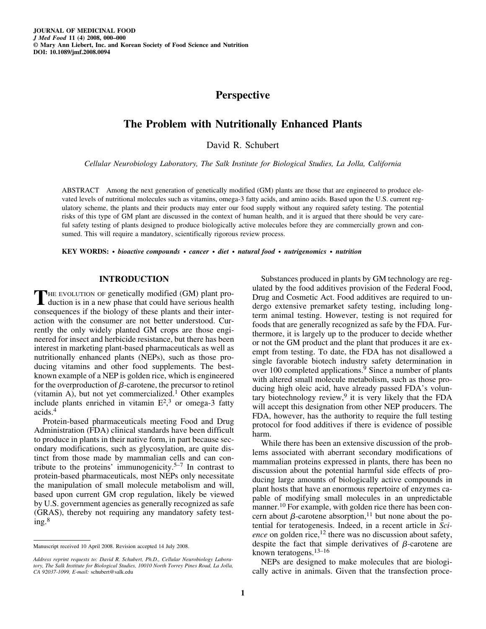# **Perspective**

## **The Problem with Nutritionally Enhanced Plants**

David R. Schubert

*Cellular Neurobiology Laboratory, The Salk Institute for Biological Studies, La Jolla, California*

ABSTRACT Among the next generation of genetically modified (GM) plants are those that are engineered to produce elevated levels of nutritional molecules such as vitamins, omega-3 fatty acids, and amino acids. Based upon the U.S. current regulatory scheme, the plants and their products may enter our food supply without any required safety testing. The potential risks of this type of GM plant are discussed in the context of human health, and it is argued that there should be very careful safety testing of plants designed to produce biologically active molecules before they are commercially grown and consumed. This will require a mandatory, scientifically rigorous review process.

**KEY WORDS:** *• bioactive compounds • cancer • diet • natural food • nutrigenomics • nutrition*

### **INTRODUCTION**

THE EVOLUTION OF genetically modified (GM) plant pro-<br>duction is in a new phase that could have serious health consequences if the biology of these plants and their interaction with the consumer are not better understood. Currently the only widely planted GM crops are those engineered for insect and herbicide resistance, but there has been interest in marketing plant-based pharmaceuticals as well as nutritionally enhanced plants (NEPs), such as those producing vitamins and other food supplements. The bestknown example of a NEP is golden rice, which is engineered for the overproduction of  $\beta$ -carotene, the precursor to retinol (vitamin A), but not yet commercialized.<sup>1</sup> Other examples include plants enriched in vitamin  $E^2$ , or omega-3 fatty acids.4

Protein-based pharmaceuticals meeting Food and Drug Administration (FDA) clinical standards have been difficult to produce in plants in their native form, in part because secondary modifications, such as glycosylation, are quite distinct from those made by mammalian cells and can contribute to the proteins' immunogenicity.<sup>5–7</sup> In contrast to protein-based pharmaceuticals, most NEPs only necessitate the manipulation of small molecule metabolism and will, based upon current GM crop regulation, likely be viewed by U.S. government agencies as generally recognized as safe (GRAS), thereby not requiring any mandatory safety testing.<sup>8</sup>

Substances produced in plants by GM technology are regulated by the food additives provision of the Federal Food, Drug and Cosmetic Act. Food additives are required to undergo extensive premarket safety testing, including longterm animal testing. However, testing is not required for foods that are generally recognized as safe by the FDA. Furthermore, it is largely up to the producer to decide whether or not the GM product and the plant that produces it are exempt from testing. To date, the FDA has not disallowed a single favorable biotech industry safety determination in over 100 completed applications.<sup>9</sup> Since a number of plants with altered small molecule metabolism, such as those producing high oleic acid, have already passed FDA's voluntary biotechnology review,<sup>9</sup> it is very likely that the FDA will accept this designation from other NEP producers. The FDA, however, has the authority to require the full testing protocol for food additives if there is evidence of possible harm.

While there has been an extensive discussion of the problems associated with aberrant secondary modifications of mammalian proteins expressed in plants, there has been no discussion about the potential harmful side effects of producing large amounts of biologically active compounds in plant hosts that have an enormous repertoire of enzymes capable of modifying small molecules in an unpredictable manner.<sup>10</sup> For example, with golden rice there has been concern about  $\beta$ -carotene absorption,<sup>11</sup> but none about the potential for teratogenesis. Indeed, in a recent article in *Science* on golden rice,<sup>12</sup> there was no discussion about safety, despite the fact that simple derivatives of  $\beta$ -carotene are known teratogens.13–16

NEPs are designed to make molecules that are biologically active in animals. Given that the transfection proce-

Manuscript received 10 April 2008. Revision accepted 14 July 2008.

*Address reprint requests to: David R. Schubert, Ph.D., Cellular Neurobiology Laboratory, The Salk Institute for Biological Studies, 10010 North Torrey Pines Road, La Jolla, CA 92037-1099, E-mail:* schubert@salk.edu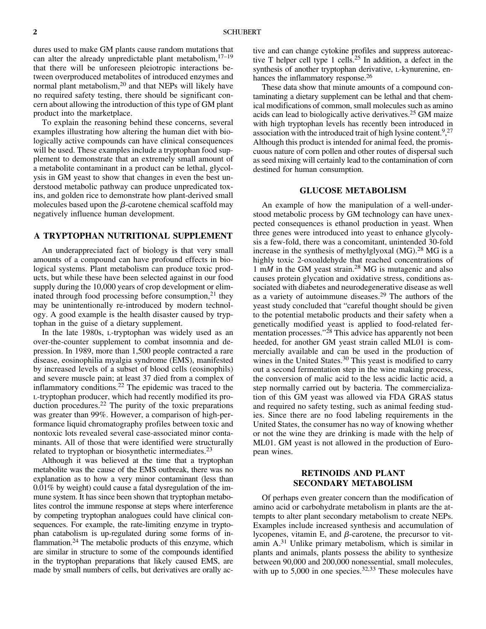dures used to make GM plants cause random mutations that can alter the already unpredictable plant metabolism, $17-19$ that there will be unforeseen pleiotropic interactions between overproduced metabolites of introduced enzymes and normal plant metabolism,<sup>20</sup> and that NEPs will likely have no required safety testing, there should be significant concern about allowing the introduction of this type of GM plant product into the marketplace.

To explain the reasoning behind these concerns, several examples illustrating how altering the human diet with biologically active compounds can have clinical consequences will be used. These examples include a tryptophan food supplement to demonstrate that an extremely small amount of a metabolite contaminant in a product can be lethal, glycolysis in GM yeast to show that changes in even the best understood metabolic pathway can produce unpredicated toxins, and golden rice to demonstrate how plant-derived small molecules based upon the  $\beta$ -carotene chemical scaffold may negatively influence human development.

## **A TRYPTOPHAN NUTRITIONAL SUPPLEMENT**

An underappreciated fact of biology is that very small amounts of a compound can have profound effects in biological systems. Plant metabolism can produce toxic products, but while these have been selected against in our food supply during the 10,000 years of crop development or eliminated through food processing before consumption, $21$  they may be unintentionally re-introduced by modern technology. A good example is the health disaster caused by tryptophan in the guise of a dietary supplement.

In the late 1980s, L-tryptophan was widely used as an over-the-counter supplement to combat insomnia and depression. In 1989, more than 1,500 people contracted a rare disease, eosinophilia myalgia syndrome (EMS), manifested by increased levels of a subset of blood cells (eosinophils) and severe muscle pain; at least 37 died from a complex of inflammatory conditions.22 The epidemic was traced to the L-tryptophan producer, which had recently modified its production procedures.<sup>22</sup> The purity of the toxic preparations was greater than 99%. However, a comparison of high-performance liquid chromatography profiles between toxic and nontoxic lots revealed several case-associated minor contaminants. All of those that were identified were structurally related to tryptophan or biosynthetic intermediates.<sup>23</sup>

Although it was believed at the time that a tryptophan metabolite was the cause of the EMS outbreak, there was no explanation as to how a very minor contaminant (less than 0.01% by weight) could cause a fatal dysregulation of the immune system. It has since been shown that tryptophan metabolites control the immune response at steps where interference by competing tryptophan analogues could have clinical consequences. For example, the rate-limiting enzyme in tryptophan catabolism is up-regulated during some forms of inflammation.<sup>24</sup> The metabolic products of this enzyme, which are similar in structure to some of the compounds identified in the tryptophan preparations that likely caused EMS, are made by small numbers of cells, but derivatives are orally active and can change cytokine profiles and suppress autoreactive T helper cell type 1 cells.25 In addition, a defect in the synthesis of another tryptophan derivative, L-kynurenine, enhances the inflammatory response.<sup>26</sup>

These data show that minute amounts of a compound contaminating a dietary supplement can be lethal and that chemical modifications of common, small molecules such as amino acids can lead to biologically active derivatives.25 GM maize with high tryptophan levels has recently been introduced in association with the introduced trait of high lysine content.<sup>9</sup>,<sup>27</sup> Although this product is intended for animal feed, the promiscuous nature of corn pollen and other routes of dispersal such as seed mixing will certainly lead to the contamination of corn destined for human consumption.

#### **GLUCOSE METABOLISM**

An example of how the manipulation of a well-understood metabolic process by GM technology can have unexpected consequences is ethanol production in yeast. When three genes were introduced into yeast to enhance glycolysis a few-fold, there was a concomitant, unintended 30-fold increase in the synthesis of methylglyoxal  $(MG)$ .<sup>28</sup> MG is a highly toxic 2-oxoaldehyde that reached concentrations of 1 m*M* in the GM yeast strain.<sup>28</sup> MG is mutagenic and also causes protein glycation and oxidative stress, conditions associated with diabetes and neurodegenerative disease as well as a variety of autoimmune diseases.<sup>29</sup> The authors of the yeast study concluded that "careful thought should be given to the potential metabolic products and their safety when a genetically modified yeast is applied to food-related fermentation processes."<sup>28</sup> This advice has apparently not been heeded, for another GM yeast strain called ML01 is commercially available and can be used in the production of wines in the United States.<sup>30</sup> This yeast is modified to carry out a second fermentation step in the wine making process, the conversion of malic acid to the less acidic lactic acid, a step normally carried out by bacteria. The commercialization of this GM yeast was allowed via FDA GRAS status and required no safety testing, such as animal feeding studies. Since there are no food labeling requirements in the United States, the consumer has no way of knowing whether or not the wine they are drinking is made with the help of ML01. GM yeast is not allowed in the production of European wines.

## **RETINOIDS AND PLANT SECONDARY METABOLISM**

Of perhaps even greater concern than the modification of amino acid or carbohydrate metabolism in plants are the attempts to alter plant secondary metabolism to create NEPs. Examples include increased synthesis and accumulation of lycopenes, vitamin E, and  $\beta$ -carotene, the precursor to vitamin A.<sup>31</sup> Unlike primary metabolism, which is similar in plants and animals, plants possess the ability to synthesize between 90,000 and 200,000 nonessential, small molecules, with up to  $5,000$  in one species.<sup>32,33</sup> These molecules have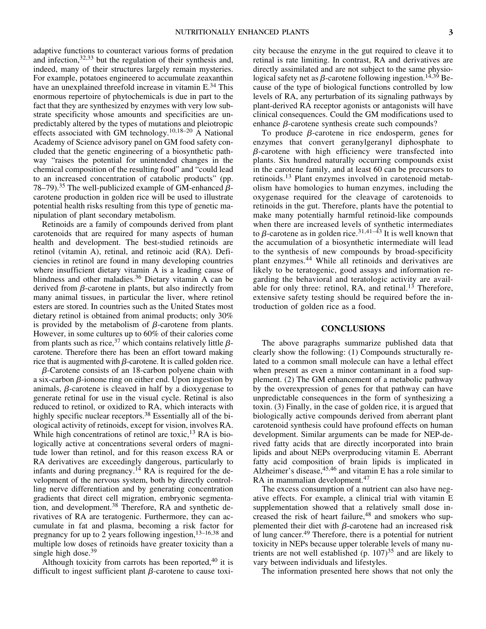adaptive functions to counteract various forms of predation and infection,32,33 but the regulation of their synthesis and, indeed, many of their structures largely remain mysteries. For example, potatoes engineered to accumulate zeaxanthin have an unexplained threefold increase in vitamin E.<sup>34</sup> This enormous repertoire of phytochemicals is due in part to the fact that they are synthesized by enzymes with very low substrate specificity whose amounts and specificities are unpredictably altered by the types of mutations and pleiotropic effects associated with GM technology.10,18–20 A National Academy of Science advisory panel on GM food safety concluded that the genetic engineering of a biosynthetic pathway "raises the potential for unintended changes in the chemical composition of the resulting food" and "could lead to an increased concentration of catabolic products" (pp. 78–79).<sup>35</sup> The well-publicized example of GM-enhanced  $\beta$ carotene production in golden rice will be used to illustrate potential health risks resulting from this type of genetic manipulation of plant secondary metabolism.

Retinoids are a family of compounds derived from plant carotenoids that are required for many aspects of human health and development. The best-studied retinoids are retinol (vitamin A), retinal, and retinoic acid (RA). Deficiencies in retinol are found in many developing countries where insufficient dietary vitamin A is a leading cause of blindness and other maladies.<sup>36</sup> Dietary vitamin A can be derived from  $\beta$ -carotene in plants, but also indirectly from many animal tissues, in particular the liver, where retinol esters are stored. In countries such as the United States most dietary retinol is obtained from animal products; only 30% is provided by the metabolism of  $\beta$ -carotene from plants. However, in some cultures up to 60% of their calories come from plants such as rice,  $37$  which contains relatively little  $\beta$ carotene. Therefore there has been an effort toward making rice that is augmented with  $\beta$ -carotene. It is called golden rice.

*-*-Carotene consists of an 18-carbon polyene chain with a six-carbon  $\beta$ -ionone ring on either end. Upon ingestion by animals,  $\beta$ -carotene is cleaved in half by a dioxygenase to generate retinal for use in the visual cycle. Retinal is also reduced to retinol, or oxidized to RA, which interacts with highly specific nuclear receptors.<sup>38</sup> Essentially all of the biological activity of retinoids, except for vision, involves RA. While high concentrations of retinol are toxic,  $^{13}$  RA is biologically active at concentrations several orders of magnitude lower than retinol, and for this reason excess RA or RA derivatives are exceedingly dangerous, particularly to infants and during pregnancy.<sup>14</sup> RA is required for the development of the nervous system, both by directly controlling nerve differentiation and by generating concentration gradients that direct cell migration, embryonic segmentation, and development.<sup>38</sup> Therefore, RA and synthetic derivatives of RA are teratogenic. Furthermore, they can accumulate in fat and plasma, becoming a risk factor for pregnancy for up to 2 years following ingestion,  $13-16,38$  and multiple low doses of retinoids have greater toxicity than a single high dose.<sup>39</sup>

Although toxicity from carrots has been reported,  $40$  it is difficult to ingest sufficient plant  $\beta$ -carotene to cause toxicity because the enzyme in the gut required to cleave it to retinal is rate limiting. In contrast, RA and derivatives are directly assimilated and are not subject to the same physiological safety net as  $\beta$ -carotene following ingestion.<sup>14,39</sup> Because of the type of biological functions controlled by low levels of RA, any perturbation of its signaling pathways by plant-derived RA receptor agonists or antagonists will have clinical consequences. Could the GM modifications used to enhance  $\beta$ -carotene synthesis create such compounds?

To produce  $\beta$ -carotene in rice endosperm, genes for enzymes that convert geranylgeranyl diphosphate to *-*-carotene with high efficiency were transfected into plants. Six hundred naturally occurring compounds exist in the carotene family, and at least 60 can be precursors to retinoids.<sup>13</sup> Plant enzymes involved in carotenoid metabolism have homologies to human enzymes, including the oxygenase required for the cleavage of carotenoids to retinoids in the gut. Therefore, plants have the potential to make many potentially harmful retinoid-like compounds when there are increased levels of synthetic intermediates to  $\beta$ -carotene as in golden rice.<sup>31,41–43</sup> It is well known that the accumulation of a biosynthetic intermediate will lead to the synthesis of new compounds by broad-specificity plant enzymes.<sup>44</sup> While all retinoids and derivatives are likely to be teratogenic, good assays and information regarding the behavioral and teratologic activity are available for only three: retinol, RA, and retinal.<sup>13</sup> Therefore, extensive safety testing should be required before the introduction of golden rice as a food.

#### **CONCLUSIONS**

The above paragraphs summarize published data that clearly show the following: (1) Compounds structurally related to a common small molecule can have a lethal effect when present as even a minor contaminant in a food supplement. (2) The GM enhancement of a metabolic pathway by the overexpression of genes for that pathway can have unpredictable consequences in the form of synthesizing a toxin. (3) Finally, in the case of golden rice, it is argued that biologically active compounds derived from aberrant plant carotenoid synthesis could have profound effects on human development. Similar arguments can be made for NEP-derived fatty acids that are directly incorporated into brain lipids and about NEPs overproducing vitamin E. Aberrant fatty acid composition of brain lipids is implicated in Alzheimer's disease, 45,46 and vitamin E has a role similar to RA in mammalian development.<sup>47</sup>

The excess consumption of a nutrient can also have negative effects. For example, a clinical trial with vitamin E supplementation showed that a relatively small dose increased the risk of heart failure,<sup>48</sup> and smokers who supplemented their diet with  $\beta$ -carotene had an increased risk of lung cancer.<sup>49</sup> Therefore, there is a potential for nutrient toxicity in NEPs because upper tolerable levels of many nutrients are not well established  $(p. 107)^{35}$  and are likely to vary between individuals and lifestyles.

The information presented here shows that not only the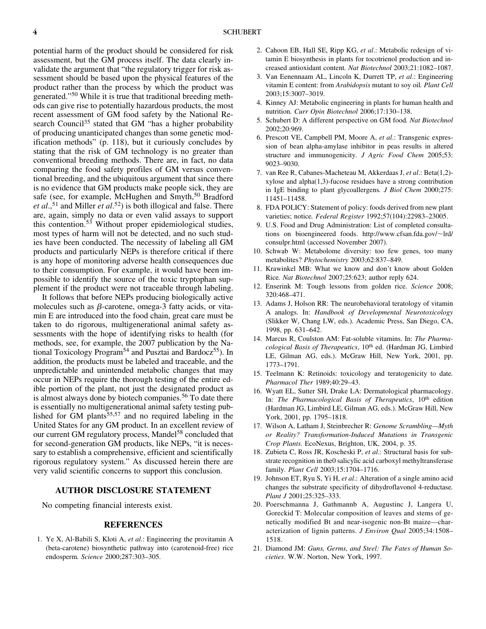potential harm of the product should be considered for risk assessment, but the GM process itself. The data clearly invalidate the argument that "the regulatory trigger for risk assessment should be based upon the physical features of the product rather than the process by which the product was generated."50 While it is true that traditional breeding methods can give rise to potentially hazardous products, the most recent assessment of GM food safety by the National Research Council<sup>35</sup> stated that GM "has a higher probability of producing unanticipated changes than some genetic modification methods" (p. 118), but it curiously concludes by stating that the risk of GM technology is no greater than conventional breeding methods. There are, in fact, no data comparing the food safety profiles of GM versus conventional breeding, and the ubiquitous argument that since there is no evidence that GM products make people sick, they are safe (see, for example, McHughen and Smyth,<sup>50</sup> Bradford *et al*.,51 and Miller *et al*. 52) is both illogical and false. There are, again, simply no data or even valid assays to support this contention.<sup>53</sup> Without proper epidemiological studies, most types of harm will not be detected, and no such studies have been conducted. The necessity of labeling all GM products and particularly NEPs is therefore critical if there is any hope of monitoring adverse health consequences due to their consumption. For example, it would have been impossible to identify the source of the toxic tryptophan supplement if the product were not traceable through labeling.

It follows that before NEPs producing biologically active molecules such as  $\beta$ -carotene, omega-3 fatty acids, or vitamin E are introduced into the food chain, great care must be taken to do rigorous, multigenerational animal safety assessments with the hope of identifying risks to health (for methods, see, for example, the 2007 publication by the National Toxicology Program<sup>54</sup> and Pusztai and Bardocz<sup>55</sup>). In addition, the products must be labeled and traceable, and the unpredictable and unintended metabolic changes that may occur in NEPs require the thorough testing of the entire edible portion of the plant, not just the designated product as is almost always done by biotech companies.<sup>56</sup> To date there is essentially no multigenerational animal safety testing published for  $\tilde{G}M$  plants<sup>55,57</sup> and no required labeling in the United States for any GM product. In an excellent review of our current GM regulatory process, Mandel<sup>58</sup> concluded that for second-generation GM products, like NEPs, "it is necessary to establish a comprehensive, efficient and scientifically rigorous regulatory system." As discussed herein there are very valid scientific concerns to support this conclusion.

## **AUTHOR DISCLOSURE STATEMENT**

No competing financial interests exist.

### **REFERENCES**

1. Ye X, Al-Babili S, Kloti A, *et al*.: Engineering the provitamin A (beta-carotene) biosynthetic pathway into (carotenoid-free) rice endosperm*. Science* 2000;287:303–305.

- 2. Cahoon EB, Hall SE, Ripp KG, *et al*.: Metabolic redesign of vitamin E biosynthesis in plants for tocotrienol production and increased antioxidant content*. Nat Biotechnol* 2003;21:1082–1087.
- 3. Van Eenennaam AL, Lincoln K, Durrett TP, *et al*.: Engineering vitamin E content: from *Arabidopsis* mutant to soy oil*. Plant Cell* 2003;15:3007–3019.
- 4. Kinney AJ: Metabolic engineering in plants for human health and nutrition*. Curr Opin Biotechnol* 2006;17:130–138.
- 5. Schubert D: A different perspective on GM food*. Nat Biotechnol* 2002;20:969.
- 6. Prescott VE, Campbell PM, Moore A, *et al*.: Transgenic expression of bean alpha-amylase inhibitor in peas results in altered structure and immunogenicity*. J Agric Food Chem* 2005;53: 9023–9030.
- 7. van Ree R, Cabanes-Macheteau M, Akkerdaas J, *et al*.: Beta(1,2) xylose and alpha(1,3)-fucose residues have a strong contribution in IgE binding to plant glycoallergens*. J Biol Chem* 2000;275: 11451–11458.
- 8. FDA POLICY: Statement of policy: foods derived from new plant varieties; notice*. Federal Register* 1992;57(104):22983–23005.
- 9. U.S. Food and Drug Administration: List of completed consultations on bioengineered foods. http://www.cfsan.fda.gov/~lrd/ consulpr.html (accessed November 2007).
- 10. Schwab W: Metabolome diversity: too few genes, too many metabolites? *Phytochemistry* 2003;62:837–849.
- 11. Krawinkel MB: What we know and don't know about Golden Rice*. Nat Biotechnol* 2007;25:623; author reply 624.
- 12. Enserink M: Tough lessons from golden rice*. Science* 2008; 320:468–471.
- 13. Adams J, Holson RR: The neurobehavioral teratology of vitamin A analogs. In: *Handbook of Developmental Neurotoxicology* (Slikker W, Chang LW, eds.). Academic Press, San Diego, CA, 1998, pp. 631–642.
- 14. Marcus R, Coulston AM: Fat-soluble vitamins. In: *The Pharmacological Basis of Therapeutics*, 10<sup>th</sup> ed. (Hardman JG, Limbird LE, Gilman AG, eds.). McGraw Hill, New York, 2001, pp. 1773–1791.
- 15. Teelmann K: Retinoids: toxicology and teratogenicity to date*. Pharmacol Ther* 1989;40:29–43.
- 16. Wyatt EL, Sutter SH, Drake LA: Dermatological pharmacology. In: *The Pharmacological Basis of Therapeutics*, 10<sup>th</sup> edition (Hardman JG, Limbird LE, Gilman AG, eds.). McGraw Hill, New York, 2001, pp. 1795–1818.
- 17. Wilson A, Latham J, Steinbrecher R: *Genome Scrambling—Myth or Reality? Transformation-Induced Mutations in Transgenic Crop Plants*. EcoNexus, Brighton, UK, 2004, p. 35.
- 18. Zubieta C, Ross JR, Koscheski P, *et al*.: Structural basis for substrate recognition in the0 salicylic acid carboxyl methyltransferase family*. Plant Cell* 2003;15:1704–1716.
- 19. Johnson ET, Ryu S, Yi H, *et al*.: Alteration of a single amino acid changes the substrate specificity of dihydroflavonol 4-reductase*. Plant J* 2001;25:325–333.
- 20. Poerschmanna J, Gathmannb A, Augustinc J, Langera U, Goreckid T: Molecular composition of leaves and stems of genetically modified Bt and near-isogenic non-Bt maize—characterization of lignin patterns. *J Environ Qual* 2005;34:1508– 1518.
- 21. Diamond JM: *Guns, Germs, and Steel: The Fates of Human Societies*. W.W. Norton, New York, 1997.